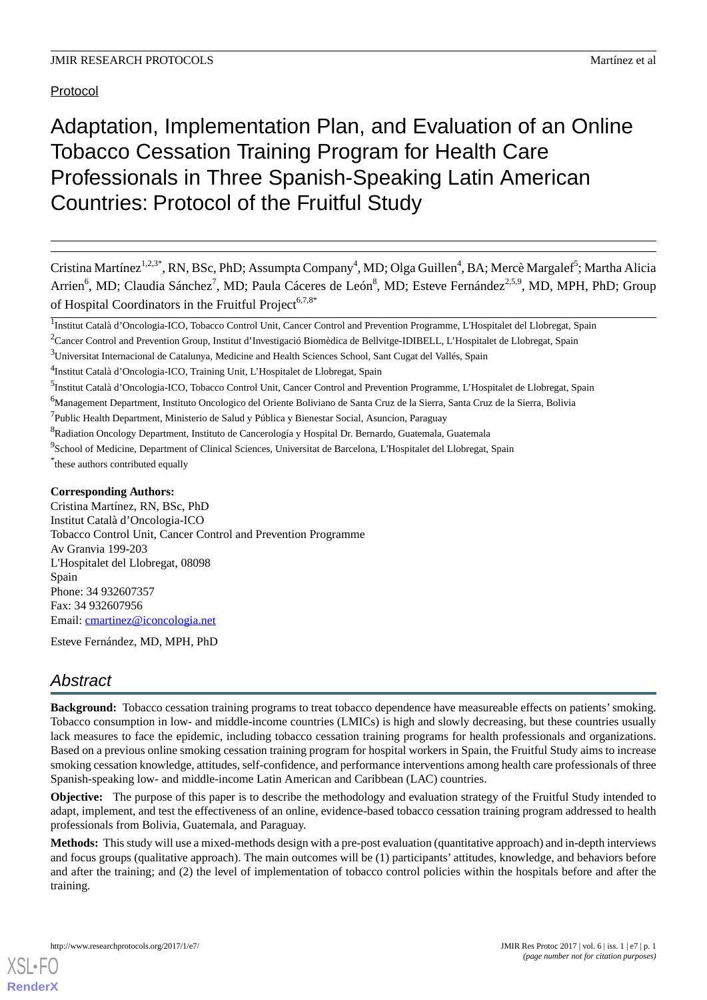Protocol

# Adaptation, Implementation Plan, and Evaluation of an Online Tobacco Cessation Training Program for Health Care Professionals in Three Spanish-Speaking Latin American Countries: Protocol of the Fruitful Study

Cristina Martínez<sup>1,2,3\*</sup>, RN, BSc, PhD; Assumpta Company<sup>4</sup>, MD; Olga Guillen<sup>4</sup>, BA; Mercè Margalef<sup>5</sup>; Martha Alicia Arrien<sup>6</sup>, MD; Claudia Sánchez<sup>7</sup>, MD; Paula Cáceres de León<sup>8</sup>, MD; Esteve Fernández<sup>2,5,9</sup>, MD, MPH, PhD; Group of Hospital Coordinators in the Fruitful Project<sup>6,7,8\*</sup>

<sup>6</sup>Management Department, Instituto Oncologico del Oriente Boliviano de Santa Cruz de la Sierra, Santa Cruz de la Sierra, Bolivia

<sup>7</sup>Public Health Department, Ministerio de Salud y Pública y Bienestar Social, Asuncion, Paraguay

### **Corresponding Authors:**

Cristina Martínez, RN, BSc, PhD Institut Català d'Oncologia-ICO Tobacco Control Unit, Cancer Control and Prevention Programme Av Granvia 199-203 L'Hospitalet del Llobregat, 08098 Spain Phone: 34 932607357 Fax: 34 932607956 Email: [cmartinez@iconcologia.net](mailto:cmartinez@iconcologia.net)

Esteve Fernández, MD, MPH, PhD

# *Abstract*

**Background:** Tobacco cessation training programs to treat tobacco dependence have measureable effects on patients'smoking. Tobacco consumption in low- and middle-income countries (LMICs) is high and slowly decreasing, but these countries usually lack measures to face the epidemic, including tobacco cessation training programs for health professionals and organizations. Based on a previous online smoking cessation training program for hospital workers in Spain, the Fruitful Study aims to increase smoking cessation knowledge, attitudes, self-confidence, and performance interventions among health care professionals of three Spanish-speaking low- and middle-income Latin American and Caribbean (LAC) countries.

**Objective:** The purpose of this paper is to describe the methodology and evaluation strategy of the Fruitful Study intended to adapt, implement, and test the effectiveness of an online, evidence-based tobacco cessation training program addressed to health professionals from Bolivia, Guatemala, and Paraguay.

**Methods:** This study will use a mixed-methods design with a pre-post evaluation (quantitative approach) and in-depth interviews and focus groups (qualitative approach). The main outcomes will be (1) participants' attitudes, knowledge, and behaviors before and after the training; and (2) the level of implementation of tobacco control policies within the hospitals before and after the training.

<sup>&</sup>lt;sup>1</sup>Institut Català d'Oncologia-ICO, Tobacco Control Unit, Cancer Control and Prevention Programme, L'Hospitalet del Llobregat, Spain

<sup>&</sup>lt;sup>2</sup>Cancer Control and Prevention Group, Institut d'Investigació Biomèdica de Bellvitge-IDIBELL, L'Hospitalet de Llobregat, Spain

<sup>3</sup>Universitat Internacional de Catalunya, Medicine and Health Sciences School, Sant Cugat del Vallés, Spain

<sup>&</sup>lt;sup>4</sup>Institut Català d'Oncologia-ICO, Training Unit, L'Hospitalet de Llobregat, Spain

<sup>&</sup>lt;sup>5</sup>Institut Català d'Oncologia-ICO, Tobacco Control Unit, Cancer Control and Prevention Programme, L'Hospitalet de Llobregat, Spain

<sup>&</sup>lt;sup>8</sup>Radiation Oncology Department, Instituto de Cancerología y Hospital Dr. Bernardo, Guatemala, Guatemala

<sup>&</sup>lt;sup>9</sup>School of Medicine, Department of Clinical Sciences, Universitat de Barcelona, L'Hospitalet del Llobregat, Spain \* these authors contributed equally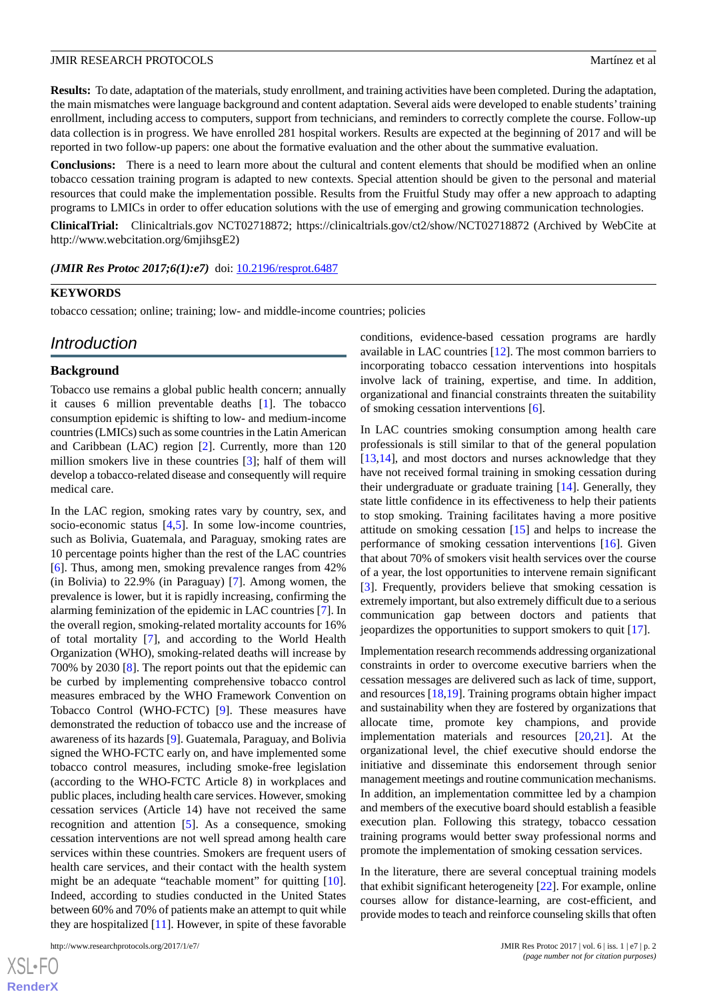**Results:** To date, adaptation of the materials, study enrollment, and training activities have been completed. During the adaptation, the main mismatches were language background and content adaptation. Several aids were developed to enable students'training enrollment, including access to computers, support from technicians, and reminders to correctly complete the course. Follow-up data collection is in progress. We have enrolled 281 hospital workers. Results are expected at the beginning of 2017 and will be reported in two follow-up papers: one about the formative evaluation and the other about the summative evaluation.

**Conclusions:** There is a need to learn more about the cultural and content elements that should be modified when an online tobacco cessation training program is adapted to new contexts. Special attention should be given to the personal and material resources that could make the implementation possible. Results from the Fruitful Study may offer a new approach to adapting programs to LMICs in order to offer education solutions with the use of emerging and growing communication technologies.

**ClinicalTrial:** Clinicaltrials.gov NCT02718872; https://clinicaltrials.gov/ct2/show/NCT02718872 (Archived by WebCite at http://www.webcitation.org/6mjihsgE2)

*(JMIR Res Protoc 2017;6(1):e7)* doi:  $10.2196$ /resprot.6487

#### **KEYWORDS**

tobacco cessation; online; training; low- and middle-income countries; policies

# *Introduction*

#### **Background**

Tobacco use remains a global public health concern; annually it causes 6 million preventable deaths [\[1](#page-8-0)]. The tobacco consumption epidemic is shifting to low- and medium-income countries (LMICs) such as some countries in the Latin American and Caribbean (LAC) region [\[2\]](#page-8-1). Currently, more than 120 million smokers live in these countries [[3\]](#page-8-2); half of them will develop a tobacco-related disease and consequently will require medical care.

In the LAC region, smoking rates vary by country, sex, and socio-economic status [\[4](#page-9-0),[5\]](#page-9-1). In some low-income countries, such as Bolivia, Guatemala, and Paraguay, smoking rates are 10 percentage points higher than the rest of the LAC countries [[6\]](#page-9-2). Thus, among men, smoking prevalence ranges from 42% (in Bolivia) to 22.9% (in Paraguay) [\[7](#page-9-3)]. Among women, the prevalence is lower, but it is rapidly increasing, confirming the alarming feminization of the epidemic in LAC countries [\[7](#page-9-3)]. In the overall region, smoking-related mortality accounts for 16% of total mortality [\[7](#page-9-3)], and according to the World Health Organization (WHO), smoking-related deaths will increase by 700% by 2030 [[8\]](#page-9-4). The report points out that the epidemic can be curbed by implementing comprehensive tobacco control measures embraced by the WHO Framework Convention on Tobacco Control (WHO-FCTC) [\[9](#page-9-5)]. These measures have demonstrated the reduction of tobacco use and the increase of awareness of its hazards [[9\]](#page-9-5). Guatemala, Paraguay, and Bolivia signed the WHO-FCTC early on, and have implemented some tobacco control measures, including smoke-free legislation (according to the WHO-FCTC Article 8) in workplaces and public places, including health care services. However, smoking cessation services (Article 14) have not received the same recognition and attention [\[5](#page-9-1)]. As a consequence, smoking cessation interventions are not well spread among health care services within these countries. Smokers are frequent users of health care services, and their contact with the health system might be an adequate "teachable moment" for quitting [[10\]](#page-9-6). Indeed, according to studies conducted in the United States between 60% and 70% of patients make an attempt to quit while they are hospitalized [[11\]](#page-9-7). However, in spite of these favorable

http://www.researchprotocols.org/2017/1/e7/ JMIR Res Protoc 2017 | vol. 6 | iss. 1 | e7 | p. 2

 $XSJ \cdot F$ **[RenderX](http://www.renderx.com/)** conditions, evidence-based cessation programs are hardly available in LAC countries [\[12](#page-9-8)]. The most common barriers to incorporating tobacco cessation interventions into hospitals involve lack of training, expertise, and time. In addition, organizational and financial constraints threaten the suitability of smoking cessation interventions [\[6\]](#page-9-2).

In LAC countries smoking consumption among health care professionals is still similar to that of the general population [[13,](#page-9-9)[14\]](#page-9-10), and most doctors and nurses acknowledge that they have not received formal training in smoking cessation during their undergraduate or graduate training [\[14](#page-9-10)]. Generally, they state little confidence in its effectiveness to help their patients to stop smoking. Training facilitates having a more positive attitude on smoking cessation [[15\]](#page-9-11) and helps to increase the performance of smoking cessation interventions [[16\]](#page-9-12). Given that about 70% of smokers visit health services over the course of a year, the lost opportunities to intervene remain significant [[3\]](#page-8-2). Frequently, providers believe that smoking cessation is extremely important, but also extremely difficult due to a serious communication gap between doctors and patients that jeopardizes the opportunities to support smokers to quit [[17\]](#page-9-13).

Implementation research recommends addressing organizational constraints in order to overcome executive barriers when the cessation messages are delivered such as lack of time, support, and resources [[18,](#page-9-14)[19](#page-9-15)]. Training programs obtain higher impact and sustainability when they are fostered by organizations that allocate time, promote key champions, and provide implementation materials and resources [[20,](#page-9-16)[21](#page-9-17)]. At the organizational level, the chief executive should endorse the initiative and disseminate this endorsement through senior management meetings and routine communication mechanisms. In addition, an implementation committee led by a champion and members of the executive board should establish a feasible execution plan. Following this strategy, tobacco cessation training programs would better sway professional norms and promote the implementation of smoking cessation services.

In the literature, there are several conceptual training models that exhibit significant heterogeneity [\[22](#page-9-18)]. For example, online courses allow for distance-learning, are cost-efficient, and provide modes to teach and reinforce counseling skills that often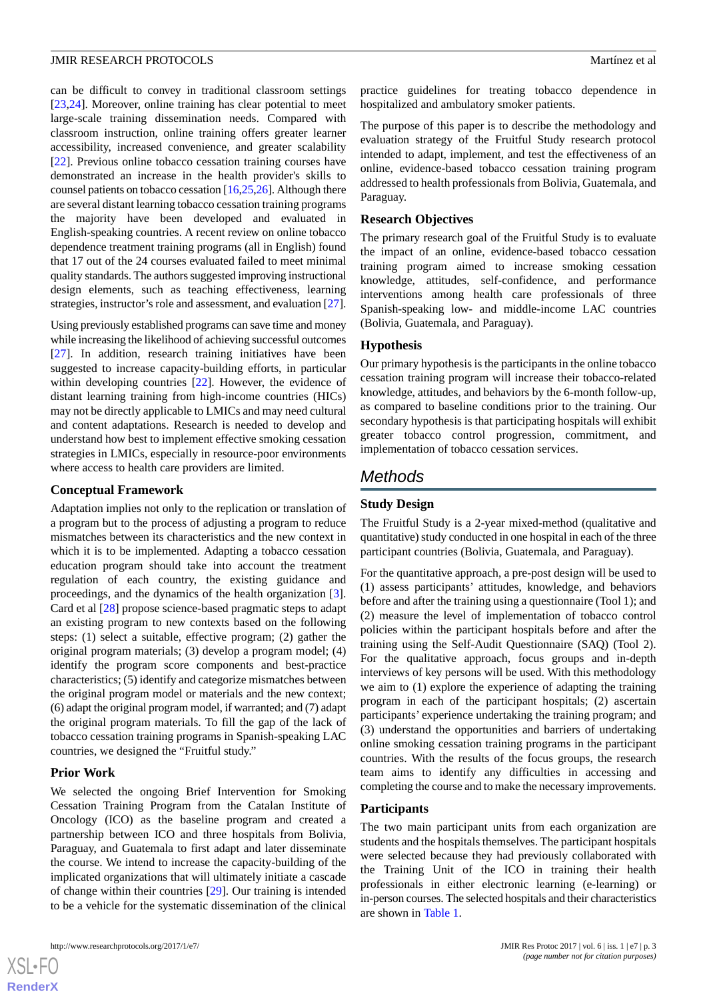#### **JMIR RESEARCH PROTOCOLS** Martínez et al.

can be difficult to convey in traditional classroom settings [[23](#page-9-19)[,24](#page-9-20)]. Moreover, online training has clear potential to meet large-scale training dissemination needs. Compared with classroom instruction, online training offers greater learner accessibility, increased convenience, and greater scalability [[22\]](#page-9-18). Previous online tobacco cessation training courses have demonstrated an increase in the health provider's skills to counsel patients on tobacco cessation [\[16](#page-9-12),[25](#page-9-21),[26\]](#page-9-22). Although there are several distant learning tobacco cessation training programs the majority have been developed and evaluated in English-speaking countries. A recent review on online tobacco dependence treatment training programs (all in English) found that 17 out of the 24 courses evaluated failed to meet minimal quality standards. The authors suggested improving instructional design elements, such as teaching effectiveness, learning strategies, instructor's role and assessment, and evaluation [[27\]](#page-10-0).

Using previously established programs can save time and money while increasing the likelihood of achieving successful outcomes [[27\]](#page-10-0). In addition, research training initiatives have been suggested to increase capacity-building efforts, in particular within developing countries [[22\]](#page-9-18). However, the evidence of distant learning training from high-income countries (HICs) may not be directly applicable to LMICs and may need cultural and content adaptations. Research is needed to develop and understand how best to implement effective smoking cessation strategies in LMICs, especially in resource-poor environments where access to health care providers are limited.

#### **Conceptual Framework**

Adaptation implies not only to the replication or translation of a program but to the process of adjusting a program to reduce mismatches between its characteristics and the new context in which it is to be implemented. Adapting a tobacco cessation education program should take into account the treatment regulation of each country, the existing guidance and proceedings, and the dynamics of the health organization [[3\]](#page-8-2). Card et al [\[28](#page-10-1)] propose science-based pragmatic steps to adapt an existing program to new contexts based on the following steps: (1) select a suitable, effective program; (2) gather the original program materials; (3) develop a program model; (4) identify the program score components and best-practice characteristics; (5) identify and categorize mismatches between the original program model or materials and the new context; (6) adapt the original program model, if warranted; and (7) adapt the original program materials. To fill the gap of the lack of tobacco cessation training programs in Spanish-speaking LAC countries, we designed the "Fruitful study."

# **Prior Work**

We selected the ongoing Brief Intervention for Smoking Cessation Training Program from the Catalan Institute of Oncology (ICO) as the baseline program and created a partnership between ICO and three hospitals from Bolivia, Paraguay, and Guatemala to first adapt and later disseminate the course. We intend to increase the capacity-building of the implicated organizations that will ultimately initiate a cascade of change within their countries [[29\]](#page-10-2). Our training is intended to be a vehicle for the systematic dissemination of the clinical

practice guidelines for treating tobacco dependence in hospitalized and ambulatory smoker patients.

The purpose of this paper is to describe the methodology and evaluation strategy of the Fruitful Study research protocol intended to adapt, implement, and test the effectiveness of an online, evidence-based tobacco cessation training program addressed to health professionals from Bolivia, Guatemala, and Paraguay.

#### **Research Objectives**

The primary research goal of the Fruitful Study is to evaluate the impact of an online, evidence-based tobacco cessation training program aimed to increase smoking cessation knowledge, attitudes, self-confidence, and performance interventions among health care professionals of three Spanish-speaking low- and middle-income LAC countries (Bolivia, Guatemala, and Paraguay).

#### **Hypothesis**

Our primary hypothesis is the participants in the online tobacco cessation training program will increase their tobacco-related knowledge, attitudes, and behaviors by the 6-month follow-up, as compared to baseline conditions prior to the training. Our secondary hypothesis is that participating hospitals will exhibit greater tobacco control progression, commitment, and implementation of tobacco cessation services.

# *Methods*

## **Study Design**

The Fruitful Study is a 2-year mixed-method (qualitative and quantitative) study conducted in one hospital in each of the three participant countries (Bolivia, Guatemala, and Paraguay).

For the quantitative approach, a pre-post design will be used to (1) assess participants' attitudes, knowledge, and behaviors before and after the training using a questionnaire (Tool 1); and (2) measure the level of implementation of tobacco control policies within the participant hospitals before and after the training using the Self-Audit Questionnaire (SAQ) (Tool 2). For the qualitative approach, focus groups and in-depth interviews of key persons will be used. With this methodology we aim to (1) explore the experience of adapting the training program in each of the participant hospitals; (2) ascertain participants' experience undertaking the training program; and (3) understand the opportunities and barriers of undertaking online smoking cessation training programs in the participant countries. With the results of the focus groups, the research team aims to identify any difficulties in accessing and completing the course and to make the necessary improvements.

#### **Participants**

The two main participant units from each organization are students and the hospitals themselves. The participant hospitals were selected because they had previously collaborated with the Training Unit of the ICO in training their health professionals in either electronic learning (e-learning) or in-person courses. The selected hospitals and their characteristics are shown in [Table 1](#page-3-0).

 $XS$  $\cdot$ FC **[RenderX](http://www.renderx.com/)**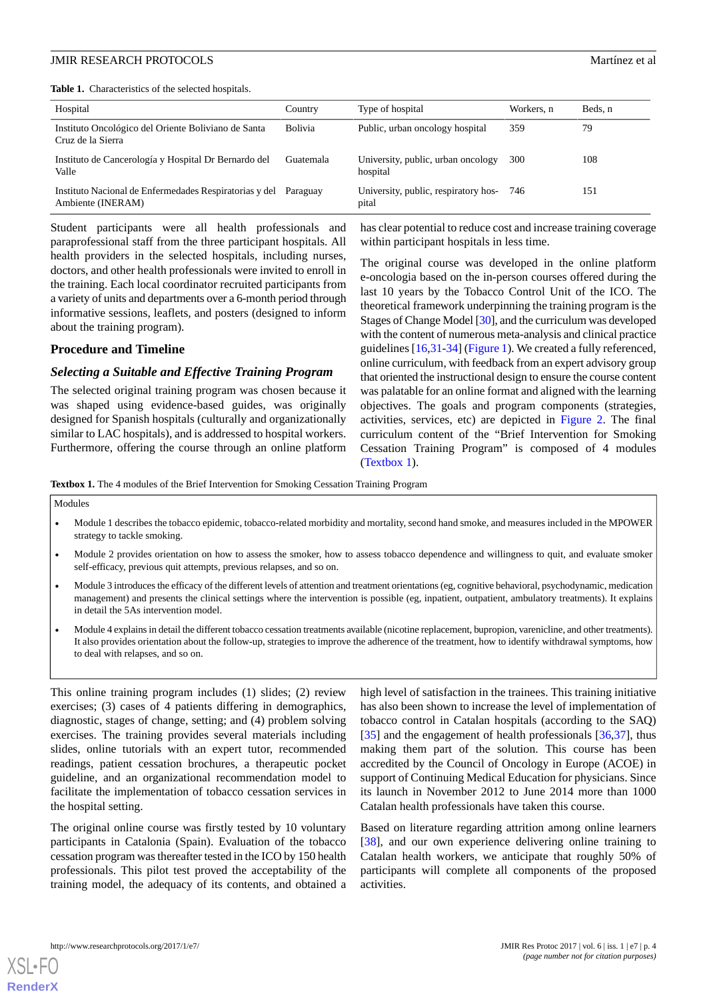<span id="page-3-0"></span>**Table 1.** Characteristics of the selected hospitals.

| Hospital                                                                    | Country   | Type of hospital                               | Workers, n | Beds. n |
|-----------------------------------------------------------------------------|-----------|------------------------------------------------|------------|---------|
| Instituto Oncológico del Oriente Boliviano de Santa<br>Cruz de la Sierra    | Bolivia   | Public, urban oncology hospital                | 359        | 79      |
| Instituto de Cancerología y Hospital Dr Bernardo del<br>Valle               | Guatemala | University, public, urban oncology<br>hospital | 300        | 108     |
| Instituto Nacional de Enfermedades Respiratorias y del<br>Ambiente (INERAM) | Paraguay  | University, public, respiratory hos-<br>pital  | 746        | 151     |

Student participants were all health professionals and paraprofessional staff from the three participant hospitals. All health providers in the selected hospitals, including nurses, doctors, and other health professionals were invited to enroll in the training. Each local coordinator recruited participants from a variety of units and departments over a 6-month period through informative sessions, leaflets, and posters (designed to inform about the training program).

# **Procedure and Timeline**

#### *Selecting a Suitable and Effective Training Program*

<span id="page-3-1"></span>The selected original training program was chosen because it was shaped using evidence-based guides, was originally designed for Spanish hospitals (culturally and organizationally similar to LAC hospitals), and is addressed to hospital workers. Furthermore, offering the course through an online platform

has clear potential to reduce cost and increase training coverage within participant hospitals in less time.

The original course was developed in the online platform e-oncologia based on the in-person courses offered during the last 10 years by the Tobacco Control Unit of the ICO. The theoretical framework underpinning the training program is the Stages of Change Model [[30\]](#page-10-3), and the curriculum was developed with the content of numerous meta-analysis and clinical practice guidelines [[16](#page-9-12)[,31](#page-10-4)-[34\]](#page-10-5) [\(Figure 1](#page-4-0)). We created a fully referenced, online curriculum, with feedback from an expert advisory group that oriented the instructional design to ensure the course content was palatable for an online format and aligned with the learning objectives. The goals and program components (strategies, activities, services, etc) are depicted in [Figure 2.](#page-4-1) The final curriculum content of the "Brief Intervention for Smoking Cessation Training Program" is composed of 4 modules ([Textbox 1\)](#page-3-1).

**Textbox 1.** The 4 modules of the Brief Intervention for Smoking Cessation Training Program

Modules

- Module 1 describes the tobacco epidemic, tobacco-related morbidity and mortality, second hand smoke, and measures included in the MPOWER strategy to tackle smoking.
- Module 2 provides orientation on how to assess the smoker, how to assess tobacco dependence and willingness to quit, and evaluate smoker self-efficacy, previous quit attempts, previous relapses, and so on.
- Module 3 introduces the efficacy of the different levels of attention and treatment orientations (eg, cognitive behavioral, psychodynamic, medication management) and presents the clinical settings where the intervention is possible (eg, inpatient, outpatient, ambulatory treatments). It explains in detail the 5As intervention model.
- Module 4 explains in detail the different tobacco cessation treatments available (nicotine replacement, bupropion, varenicline, and other treatments). It also provides orientation about the follow-up, strategies to improve the adherence of the treatment, how to identify withdrawal symptoms, how to deal with relapses, and so on.

This online training program includes (1) slides; (2) review exercises; (3) cases of 4 patients differing in demographics, diagnostic, stages of change, setting; and (4) problem solving exercises. The training provides several materials including slides, online tutorials with an expert tutor, recommended readings, patient cessation brochures, a therapeutic pocket guideline, and an organizational recommendation model to facilitate the implementation of tobacco cessation services in the hospital setting.

The original online course was firstly tested by 10 voluntary participants in Catalonia (Spain). Evaluation of the tobacco cessation program was thereafter tested in the ICO by 150 health professionals. This pilot test proved the acceptability of the training model, the adequacy of its contents, and obtained a high level of satisfaction in the trainees. This training initiative has also been shown to increase the level of implementation of tobacco control in Catalan hospitals (according to the SAQ) [[35\]](#page-10-6) and the engagement of health professionals [[36](#page-10-7)[,37](#page-10-8)], thus making them part of the solution. This course has been accredited by the Council of Oncology in Europe (ACOE) in support of Continuing Medical Education for physicians. Since its launch in November 2012 to June 2014 more than 1000 Catalan health professionals have taken this course.

Based on literature regarding attrition among online learners [[38\]](#page-10-9), and our own experience delivering online training to Catalan health workers, we anticipate that roughly 50% of participants will complete all components of the proposed activities.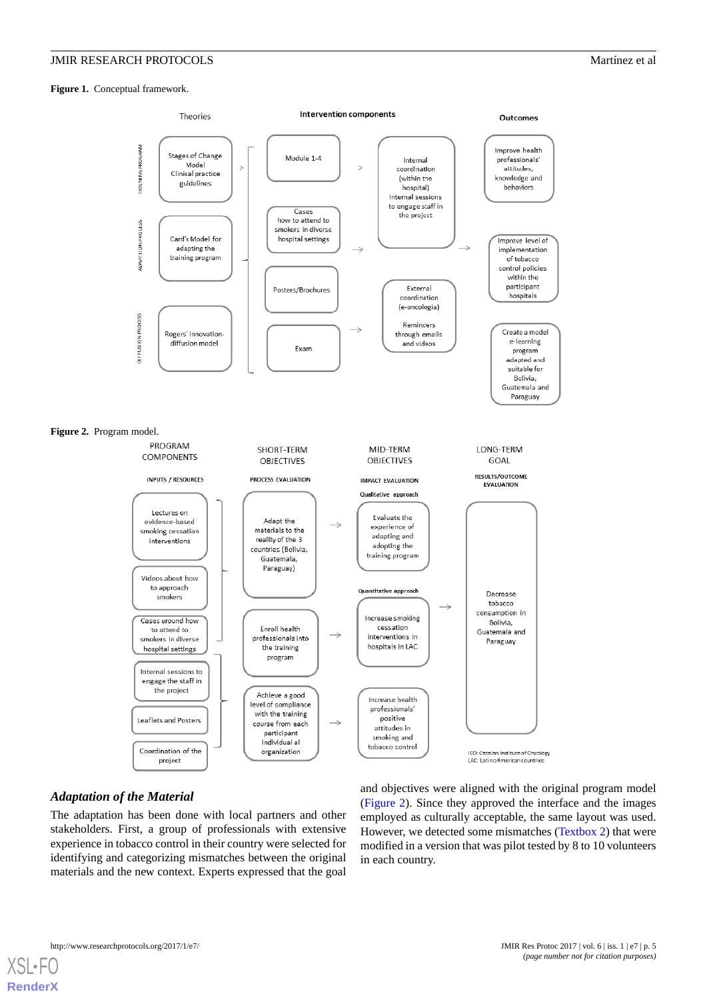<span id="page-4-0"></span>Figure 1. Conceptual framework.

<span id="page-4-1"></span>

# *Adaptation of the Material*

The adaptation has been done with local partners and other stakeholders. First, a group of professionals with extensive experience in tobacco control in their country were selected for identifying and categorizing mismatches between the original materials and the new context. Experts expressed that the goal

and objectives were aligned with the original program model ([Figure 2\)](#page-4-1). Since they approved the interface and the images employed as culturally acceptable, the same layout was used. However, we detected some mismatches [\(Textbox 2](#page-5-0)) that were modified in a version that was pilot tested by 8 to 10 volunteers in each country.

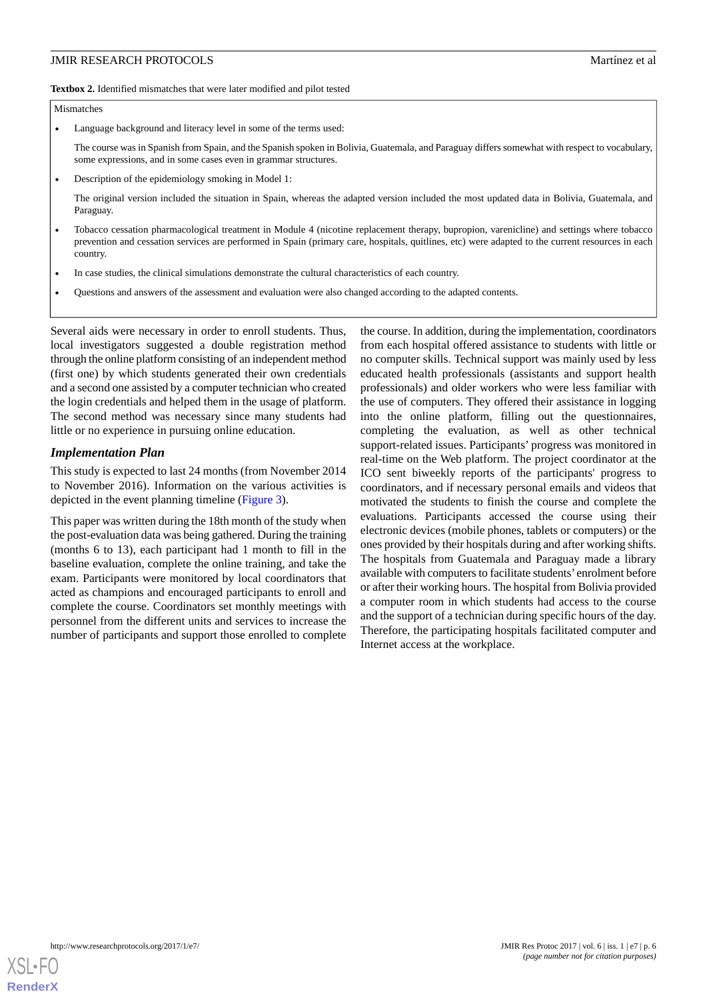<span id="page-5-0"></span>**Textbox 2.** Identified mismatches that were later modified and pilot tested

#### Mismatches

• Language background and literacy level in some of the terms used:

The course was in Spanish from Spain, and the Spanish spoken in Bolivia, Guatemala, and Paraguay differs somewhat with respect to vocabulary, some expressions, and in some cases even in grammar structures.

• Description of the epidemiology smoking in Model 1:

The original version included the situation in Spain, whereas the adapted version included the most updated data in Bolivia, Guatemala, and Paraguay.

- Tobacco cessation pharmacological treatment in Module 4 (nicotine replacement therapy, bupropion, varenicline) and settings where tobacco prevention and cessation services are performed in Spain (primary care, hospitals, quitlines, etc) were adapted to the current resources in each country.
- In case studies, the clinical simulations demonstrate the cultural characteristics of each country.
- Questions and answers of the assessment and evaluation were also changed according to the adapted contents.

Several aids were necessary in order to enroll students. Thus, local investigators suggested a double registration method through the online platform consisting of an independent method (first one) by which students generated their own credentials and a second one assisted by a computer technician who created the login credentials and helped them in the usage of platform. The second method was necessary since many students had little or no experience in pursuing online education.

#### *Implementation Plan*

This study is expected to last 24 months (from November 2014 to November 2016). Information on the various activities is depicted in the event planning timeline ([Figure 3](#page-6-0)).

This paper was written during the 18th month of the study when the post-evaluation data was being gathered. During the training (months 6 to 13), each participant had 1 month to fill in the baseline evaluation, complete the online training, and take the exam. Participants were monitored by local coordinators that acted as champions and encouraged participants to enroll and complete the course. Coordinators set monthly meetings with personnel from the different units and services to increase the number of participants and support those enrolled to complete the course. In addition, during the implementation, coordinators from each hospital offered assistance to students with little or no computer skills. Technical support was mainly used by less educated health professionals (assistants and support health professionals) and older workers who were less familiar with the use of computers. They offered their assistance in logging into the online platform, filling out the questionnaires, completing the evaluation, as well as other technical support-related issues. Participants' progress was monitored in real-time on the Web platform. The project coordinator at the ICO sent biweekly reports of the participants' progress to coordinators, and if necessary personal emails and videos that motivated the students to finish the course and complete the evaluations. Participants accessed the course using their electronic devices (mobile phones, tablets or computers) or the ones provided by their hospitals during and after working shifts. The hospitals from Guatemala and Paraguay made a library available with computers to facilitate students' enrolment before or after their working hours. The hospital from Bolivia provided a computer room in which students had access to the course and the support of a technician during specific hours of the day. Therefore, the participating hospitals facilitated computer and Internet access at the workplace.

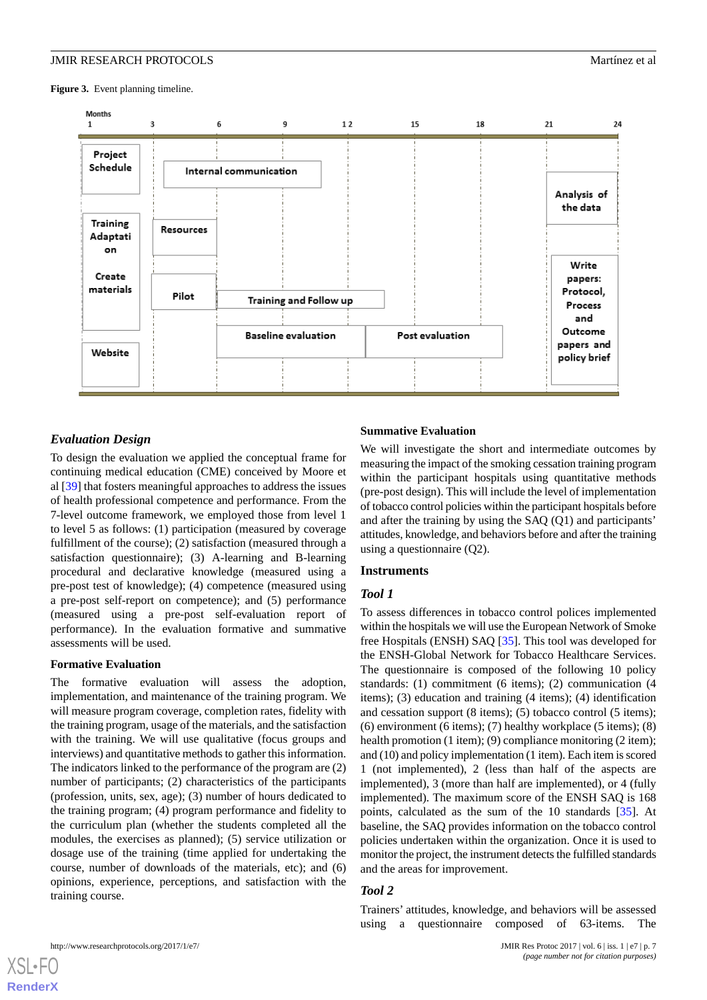<span id="page-6-0"></span>Figure 3. Event planning timeline.



# *Evaluation Design*

To design the evaluation we applied the conceptual frame for continuing medical education (CME) conceived by Moore et al [\[39](#page-10-10)] that fosters meaningful approaches to address the issues of health professional competence and performance. From the 7-level outcome framework, we employed those from level 1 to level 5 as follows: (1) participation (measured by coverage fulfillment of the course); (2) satisfaction (measured through a satisfaction questionnaire); (3) A-learning and B-learning procedural and declarative knowledge (measured using a pre-post test of knowledge); (4) competence (measured using a pre-post self-report on competence); and (5) performance (measured using a pre-post self-evaluation report of performance). In the evaluation formative and summative assessments will be used.

### **Formative Evaluation**

The formative evaluation will assess the adoption, implementation, and maintenance of the training program. We will measure program coverage, completion rates, fidelity with the training program, usage of the materials, and the satisfaction with the training. We will use qualitative (focus groups and interviews) and quantitative methods to gather this information. The indicators linked to the performance of the program are (2) number of participants; (2) characteristics of the participants (profession, units, sex, age); (3) number of hours dedicated to the training program; (4) program performance and fidelity to the curriculum plan (whether the students completed all the modules, the exercises as planned); (5) service utilization or dosage use of the training (time applied for undertaking the course, number of downloads of the materials, etc); and (6) opinions, experience, perceptions, and satisfaction with the training course.

### **Summative Evaluation**

We will investigate the short and intermediate outcomes by measuring the impact of the smoking cessation training program within the participant hospitals using quantitative methods (pre-post design). This will include the level of implementation of tobacco control policies within the participant hospitals before and after the training by using the SAQ (Q1) and participants' attitudes, knowledge, and behaviors before and after the training using a questionnaire (Q2).

### **Instruments**

### *Tool 1*

To assess differences in tobacco control polices implemented within the hospitals we will use the European Network of Smoke free Hospitals (ENSH) SAQ [[35\]](#page-10-6). This tool was developed for the ENSH-Global Network for Tobacco Healthcare Services. The questionnaire is composed of the following 10 policy standards: (1) commitment (6 items); (2) communication (4 items); (3) education and training (4 items); (4) identification and cessation support (8 items); (5) tobacco control (5 items);  $(6)$  environment  $(6$  items);  $(7)$  healthy workplace  $(5$  items);  $(8)$ health promotion (1 item); (9) compliance monitoring (2 item); and (10) and policy implementation (1 item). Each item is scored 1 (not implemented), 2 (less than half of the aspects are implemented), 3 (more than half are implemented), or 4 (fully implemented). The maximum score of the ENSH SAQ is 168 points, calculated as the sum of the 10 standards [\[35](#page-10-6)]. At baseline, the SAQ provides information on the tobacco control policies undertaken within the organization. Once it is used to monitor the project, the instrument detects the fulfilled standards and the areas for improvement.

# *Tool 2*

Trainers' attitudes, knowledge, and behaviors will be assessed using a questionnaire composed of 63-items. The

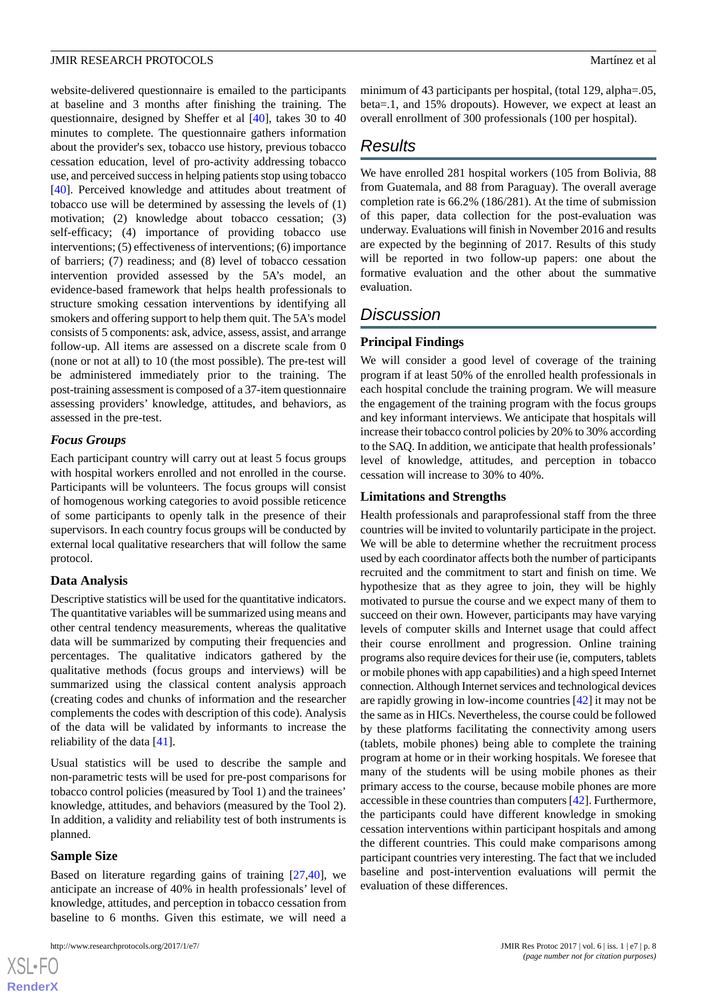website-delivered questionnaire is emailed to the participants at baseline and 3 months after finishing the training. The questionnaire, designed by Sheffer et al [\[40](#page-10-11)], takes 30 to 40 minutes to complete. The questionnaire gathers information about the provider's sex, tobacco use history, previous tobacco cessation education, level of pro-activity addressing tobacco use, and perceived success in helping patients stop using tobacco [[40\]](#page-10-11). Perceived knowledge and attitudes about treatment of tobacco use will be determined by assessing the levels of (1) motivation; (2) knowledge about tobacco cessation; (3) self-efficacy; (4) importance of providing tobacco use interventions; (5) effectiveness of interventions; (6) importance of barriers; (7) readiness; and (8) level of tobacco cessation intervention provided assessed by the 5A's model, an evidence-based framework that helps health professionals to structure smoking cessation interventions by identifying all smokers and offering support to help them quit. The 5A's model consists of 5 components: ask, advice, assess, assist, and arrange follow-up. All items are assessed on a discrete scale from 0 (none or not at all) to 10 (the most possible). The pre-test will be administered immediately prior to the training. The post-training assessment is composed of a 37-item questionnaire assessing providers' knowledge, attitudes, and behaviors, as assessed in the pre-test.

#### *Focus Groups*

Each participant country will carry out at least 5 focus groups with hospital workers enrolled and not enrolled in the course. Participants will be volunteers. The focus groups will consist of homogenous working categories to avoid possible reticence of some participants to openly talk in the presence of their supervisors. In each country focus groups will be conducted by external local qualitative researchers that will follow the same protocol.

### **Data Analysis**

Descriptive statistics will be used for the quantitative indicators. The quantitative variables will be summarized using means and other central tendency measurements, whereas the qualitative data will be summarized by computing their frequencies and percentages. The qualitative indicators gathered by the qualitative methods (focus groups and interviews) will be summarized using the classical content analysis approach (creating codes and chunks of information and the researcher complements the codes with description of this code). Analysis of the data will be validated by informants to increase the reliability of the data [[41\]](#page-10-12).

Usual statistics will be used to describe the sample and non-parametric tests will be used for pre-post comparisons for tobacco control policies (measured by Tool 1) and the trainees' knowledge, attitudes, and behaviors (measured by the Tool 2). In addition, a validity and reliability test of both instruments is planned.

#### **Sample Size**

 $XS$  • FO **[RenderX](http://www.renderx.com/)**

Based on literature regarding gains of training [\[27](#page-10-0),[40\]](#page-10-11), we anticipate an increase of 40% in health professionals' level of knowledge, attitudes, and perception in tobacco cessation from baseline to 6 months. Given this estimate, we will need a

```
http://www.researchprotocols.org/2017/1/e7/ JMIR Res Protoc 2017 | vol. 6 | iss. 1 | e7 | p. 8
```
minimum of 43 participants per hospital, (total 129, alpha=.05, beta=.1, and 15% dropouts). However, we expect at least an overall enrollment of 300 professionals (100 per hospital).

# *Results*

We have enrolled 281 hospital workers (105 from Bolivia, 88 from Guatemala, and 88 from Paraguay). The overall average completion rate is 66.2% (186/281). At the time of submission of this paper, data collection for the post-evaluation was underway. Evaluations will finish in November 2016 and results are expected by the beginning of 2017. Results of this study will be reported in two follow-up papers: one about the formative evaluation and the other about the summative evaluation.

# *Discussion*

# **Principal Findings**

We will consider a good level of coverage of the training program if at least 50% of the enrolled health professionals in each hospital conclude the training program. We will measure the engagement of the training program with the focus groups and key informant interviews. We anticipate that hospitals will increase their tobacco control policies by 20% to 30% according to the SAQ. In addition, we anticipate that health professionals' level of knowledge, attitudes, and perception in tobacco cessation will increase to 30% to 40%.

#### **Limitations and Strengths**

Health professionals and paraprofessional staff from the three countries will be invited to voluntarily participate in the project. We will be able to determine whether the recruitment process used by each coordinator affects both the number of participants recruited and the commitment to start and finish on time. We hypothesize that as they agree to join, they will be highly motivated to pursue the course and we expect many of them to succeed on their own. However, participants may have varying levels of computer skills and Internet usage that could affect their course enrollment and progression. Online training programs also require devices for their use (ie, computers, tablets or mobile phones with app capabilities) and a high speed Internet connection. Although Internet services and technological devices are rapidly growing in low-income countries [[42\]](#page-10-13) it may not be the same as in HICs. Nevertheless, the course could be followed by these platforms facilitating the connectivity among users (tablets, mobile phones) being able to complete the training program at home or in their working hospitals. We foresee that many of the students will be using mobile phones as their primary access to the course, because mobile phones are more accessible in these countries than computers [[42\]](#page-10-13). Furthermore, the participants could have different knowledge in smoking cessation interventions within participant hospitals and among the different countries. This could make comparisons among participant countries very interesting. The fact that we included baseline and post-intervention evaluations will permit the evaluation of these differences.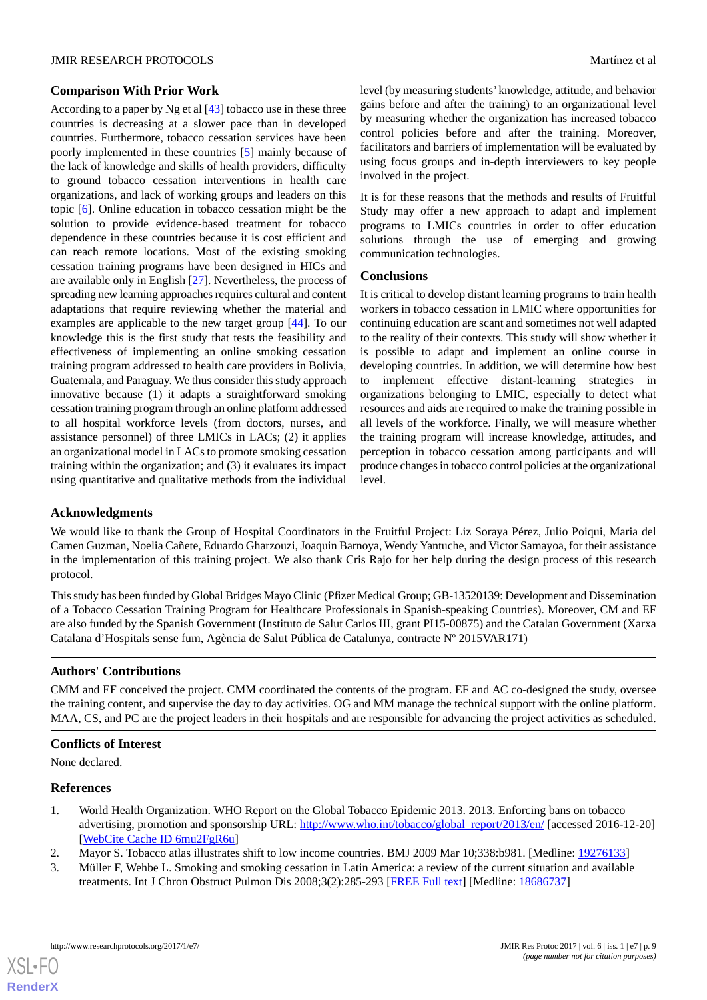### **Comparison With Prior Work**

According to a paper by Ng et al  $[43]$  $[43]$  tobacco use in these three countries is decreasing at a slower pace than in developed countries. Furthermore, tobacco cessation services have been poorly implemented in these countries [[5\]](#page-9-1) mainly because of the lack of knowledge and skills of health providers, difficulty to ground tobacco cessation interventions in health care organizations, and lack of working groups and leaders on this topic [[6\]](#page-9-2). Online education in tobacco cessation might be the solution to provide evidence-based treatment for tobacco dependence in these countries because it is cost efficient and can reach remote locations. Most of the existing smoking cessation training programs have been designed in HICs and are available only in English [[27\]](#page-10-0). Nevertheless, the process of spreading new learning approaches requires cultural and content adaptations that require reviewing whether the material and examples are applicable to the new target group [[44\]](#page-10-15). To our knowledge this is the first study that tests the feasibility and effectiveness of implementing an online smoking cessation training program addressed to health care providers in Bolivia, Guatemala, and Paraguay. We thus consider this study approach innovative because (1) it adapts a straightforward smoking cessation training program through an online platform addressed to all hospital workforce levels (from doctors, nurses, and assistance personnel) of three LMICs in LACs; (2) it applies an organizational model in LACs to promote smoking cessation training within the organization; and (3) it evaluates its impact using quantitative and qualitative methods from the individual

level (by measuring students'knowledge, attitude, and behavior gains before and after the training) to an organizational level by measuring whether the organization has increased tobacco control policies before and after the training. Moreover, facilitators and barriers of implementation will be evaluated by using focus groups and in-depth interviewers to key people involved in the project.

It is for these reasons that the methods and results of Fruitful Study may offer a new approach to adapt and implement programs to LMICs countries in order to offer education solutions through the use of emerging and growing communication technologies.

### **Conclusions**

It is critical to develop distant learning programs to train health workers in tobacco cessation in LMIC where opportunities for continuing education are scant and sometimes not well adapted to the reality of their contexts. This study will show whether it is possible to adapt and implement an online course in developing countries. In addition, we will determine how best to implement effective distant-learning strategies in organizations belonging to LMIC, especially to detect what resources and aids are required to make the training possible in all levels of the workforce. Finally, we will measure whether the training program will increase knowledge, attitudes, and perception in tobacco cessation among participants and will produce changes in tobacco control policies at the organizational level.

# **Acknowledgments**

We would like to thank the Group of Hospital Coordinators in the Fruitful Project: Liz Soraya Pérez, Julio Poiqui, Maria del Camen Guzman, Noelia Cañete, Eduardo Gharzouzi, Joaquin Barnoya, Wendy Yantuche, and Victor Samayoa, for their assistance in the implementation of this training project. We also thank Cris Rajo for her help during the design process of this research protocol.

This study has been funded by Global Bridges Mayo Clinic (Pfizer Medical Group; GB-13520139: Development and Dissemination of a Tobacco Cessation Training Program for Healthcare Professionals in Spanish-speaking Countries). Moreover, CM and EF are also funded by the Spanish Government (Instituto de Salut Carlos III, grant PI15-00875) and the Catalan Government (Xarxa Catalana d'Hospitals sense fum, Agència de Salut Pública de Catalunya, contracte Nº 2015VAR171)

# **Authors' Contributions**

CMM and EF conceived the project. CMM coordinated the contents of the program. EF and AC co-designed the study, oversee the training content, and supervise the day to day activities. OG and MM manage the technical support with the online platform. MAA, CS, and PC are the project leaders in their hospitals and are responsible for advancing the project activities as scheduled.

# <span id="page-8-0"></span>**Conflicts of Interest**

<span id="page-8-1"></span>None declared.

# <span id="page-8-2"></span>**References**

- 1. World Health Organization. WHO Report on the Global Tobacco Epidemic 2013. 2013. Enforcing bans on tobacco advertising, promotion and sponsorship URL: [http://www.who.int/tobacco/global\\_report/2013/en/](http://www.who.int/tobacco/global_report/2013/en/) [accessed 2016-12-20] [[WebCite Cache ID 6mu2FgR6u\]](http://www.webcitation.org/

                                6mu2FgR6u)
- 2. Mayor S. Tobacco atlas illustrates shift to low income countries. BMJ 2009 Mar 10;338:b981. [Medline: [19276133](http://www.ncbi.nlm.nih.gov/entrez/query.fcgi?cmd=Retrieve&db=PubMed&list_uids=19276133&dopt=Abstract)]
- 3. Müller F, Wehbe L. Smoking and smoking cessation in Latin America: a review of the current situation and available treatments. Int J Chron Obstruct Pulmon Dis 2008;3(2):285-293 [\[FREE Full text](https://www.dovepress.com/articles.php?article_id=1827)] [Medline: [18686737](http://www.ncbi.nlm.nih.gov/entrez/query.fcgi?cmd=Retrieve&db=PubMed&list_uids=18686737&dopt=Abstract)]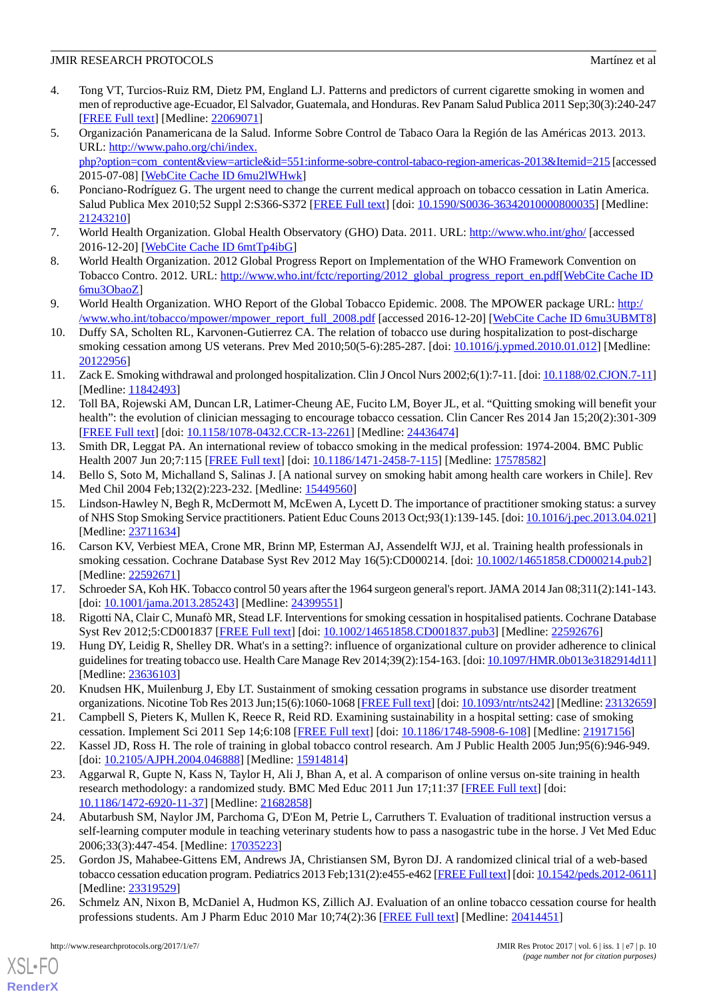# **JMIR RESEARCH PROTOCOLS** Martínez et al.

- <span id="page-9-0"></span>4. Tong VT, Turcios-Ruiz RM, Dietz PM, England LJ. Patterns and predictors of current cigarette smoking in women and men of reproductive age-Ecuador, El Salvador, Guatemala, and Honduras. Rev Panam Salud Publica 2011 Sep;30(3):240-247 [[FREE Full text](http://www.scielosp.org/scielo.php?script=sci_arttext&pid=S1020-49892011000900008&lng=en&nrm=iso&tlng=en)] [Medline: [22069071](http://www.ncbi.nlm.nih.gov/entrez/query.fcgi?cmd=Retrieve&db=PubMed&list_uids=22069071&dopt=Abstract)]
- <span id="page-9-1"></span>5. Organización Panamericana de la Salud. Informe Sobre Control de Tabaco Oara la Región de las Américas 2013. 2013. URL: [http://www.paho.org/chi/index.](http://www.paho.org/chi/index.php?option=com_content&view=article&id=551:informe-sobre-control-tabaco-region-americas-2013&Itemid=215)

<span id="page-9-2"></span>[php?option=com\\_content&view=article&id=551:informe-sobre-control-tabaco-region-americas-2013&Itemid=215](http://www.paho.org/chi/index.php?option=com_content&view=article&id=551:informe-sobre-control-tabaco-region-americas-2013&Itemid=215) [accessed 2015-07-08] [\[WebCite Cache ID 6mu2lWHwk\]](http://www.webcitation.org/

                                6mu2lWHwk)

- <span id="page-9-3"></span>6. Ponciano-Rodríguez G. The urgent need to change the current medical approach on tobacco cessation in Latin America. Salud Publica Mex 2010;52 Suppl 2:S366-S372 [\[FREE Full text\]](http://www.scielosp.org/scielo.php?script=sci_arttext&pid=S0036-36342010000800035&lng=en&nrm=iso&tlng=en) [doi: [10.1590/S0036-36342010000800035\]](http://dx.doi.org/10.1590/S0036-36342010000800035) [Medline: [21243210](http://www.ncbi.nlm.nih.gov/entrez/query.fcgi?cmd=Retrieve&db=PubMed&list_uids=21243210&dopt=Abstract)]
- <span id="page-9-4"></span>7. World Health Organization. Global Health Observatory (GHO) Data. 2011. URL: <http://www.who.int/gho/> [accessed 2016-12-20] [\[WebCite Cache ID 6mtTp4ibG\]](http://www.webcitation.org/

                                6mtTp4ibG)
- <span id="page-9-5"></span>8. World Health Organization. 2012 Global Progress Report on Implementation of the WHO Framework Convention on Tobacco Contro. 2012. URL: [http://www.who.int/fctc/reporting/2012\\_global\\_progress\\_report\\_en.pdf](http://www.who.int/fctc/reporting/2012_global_progress_report_en.pdf)[[WebCite Cache ID](http://www.webcitation.org/

                                6mu3ObaoZ) [6mu3ObaoZ](http://www.webcitation.org/

                                6mu3ObaoZ)]
- <span id="page-9-6"></span>9. World Health Organization. WHO Report of the Global Tobacco Epidemic. 2008. The MPOWER package URL: [http:/](http://www.who.int/tobacco/mpower/mpower_report_full_2008.pdf) [/www.who.int/tobacco/mpower/mpower\\_report\\_full\\_2008.pdf](http://www.who.int/tobacco/mpower/mpower_report_full_2008.pdf) [accessed 2016-12-20] [\[WebCite Cache ID 6mu3UBMT8](http://www.webcitation.org/

                                6mu3UBMT8)]
- <span id="page-9-7"></span>10. Duffy SA, Scholten RL, Karvonen-Gutierrez CA. The relation of tobacco use during hospitalization to post-discharge smoking cessation among US veterans. Prev Med 2010;50(5-6):285-287. [doi: [10.1016/j.ypmed.2010.01.012\]](http://dx.doi.org/10.1016/j.ypmed.2010.01.012) [Medline: [20122956](http://www.ncbi.nlm.nih.gov/entrez/query.fcgi?cmd=Retrieve&db=PubMed&list_uids=20122956&dopt=Abstract)]
- <span id="page-9-8"></span>11. Zack E. Smoking withdrawal and prolonged hospitalization. Clin J Oncol Nurs 2002;6(1):7-11. [doi: [10.1188/02.CJON.7-11\]](http://dx.doi.org/10.1188/02.CJON.7-11) [Medline: [11842493](http://www.ncbi.nlm.nih.gov/entrez/query.fcgi?cmd=Retrieve&db=PubMed&list_uids=11842493&dopt=Abstract)]
- <span id="page-9-9"></span>12. Toll BA, Rojewski AM, Duncan LR, Latimer-Cheung AE, Fucito LM, Boyer JL, et al. "Quitting smoking will benefit your health": the evolution of clinician messaging to encourage tobacco cessation. Clin Cancer Res 2014 Jan 15;20(2):301-309 [[FREE Full text](http://clincancerres.aacrjournals.org/cgi/pmidlookup?view=long&pmid=24436474)] [doi: [10.1158/1078-0432.CCR-13-2261](http://dx.doi.org/10.1158/1078-0432.CCR-13-2261)] [Medline: [24436474](http://www.ncbi.nlm.nih.gov/entrez/query.fcgi?cmd=Retrieve&db=PubMed&list_uids=24436474&dopt=Abstract)]
- <span id="page-9-11"></span><span id="page-9-10"></span>13. Smith DR, Leggat PA. An international review of tobacco smoking in the medical profession: 1974-2004. BMC Public Health 2007 Jun 20;7:115 [[FREE Full text](https://bmcpublichealth.biomedcentral.com/articles/10.1186/1471-2458-7-115)] [doi: [10.1186/1471-2458-7-115\]](http://dx.doi.org/10.1186/1471-2458-7-115) [Medline: [17578582\]](http://www.ncbi.nlm.nih.gov/entrez/query.fcgi?cmd=Retrieve&db=PubMed&list_uids=17578582&dopt=Abstract)
- 14. Bello S, Soto M, Michalland S, Salinas J. [A national survey on smoking habit among health care workers in Chile]. Rev Med Chil 2004 Feb;132(2):223-232. [Medline: [15449560](http://www.ncbi.nlm.nih.gov/entrez/query.fcgi?cmd=Retrieve&db=PubMed&list_uids=15449560&dopt=Abstract)]
- <span id="page-9-12"></span>15. Lindson-Hawley N, Begh R, McDermott M, McEwen A, Lycett D. The importance of practitioner smoking status: a survey of NHS Stop Smoking Service practitioners. Patient Educ Couns 2013 Oct;93(1):139-145. [doi: [10.1016/j.pec.2013.04.021\]](http://dx.doi.org/10.1016/j.pec.2013.04.021) [Medline: [23711634](http://www.ncbi.nlm.nih.gov/entrez/query.fcgi?cmd=Retrieve&db=PubMed&list_uids=23711634&dopt=Abstract)]
- <span id="page-9-14"></span><span id="page-9-13"></span>16. Carson KV, Verbiest MEA, Crone MR, Brinn MP, Esterman AJ, Assendelft WJJ, et al. Training health professionals in smoking cessation. Cochrane Database Syst Rev 2012 May 16(5):CD000214. [doi: [10.1002/14651858.CD000214.pub2](http://dx.doi.org/10.1002/14651858.CD000214.pub2)] [Medline: [22592671](http://www.ncbi.nlm.nih.gov/entrez/query.fcgi?cmd=Retrieve&db=PubMed&list_uids=22592671&dopt=Abstract)]
- <span id="page-9-15"></span>17. Schroeder SA, Koh HK. Tobacco control 50 years after the 1964 surgeon general's report. JAMA 2014 Jan 08;311(2):141-143. [doi: [10.1001/jama.2013.285243\]](http://dx.doi.org/10.1001/jama.2013.285243) [Medline: [24399551](http://www.ncbi.nlm.nih.gov/entrez/query.fcgi?cmd=Retrieve&db=PubMed&list_uids=24399551&dopt=Abstract)]
- <span id="page-9-16"></span>18. Rigotti NA, Clair C, Munafò MR, Stead LF. Interventions for smoking cessation in hospitalised patients. Cochrane Database Syst Rev 2012;5:CD001837 [[FREE Full text](http://europepmc.org/abstract/MED/22592676)] [doi: [10.1002/14651858.CD001837.pub3\]](http://dx.doi.org/10.1002/14651858.CD001837.pub3) [Medline: [22592676](http://www.ncbi.nlm.nih.gov/entrez/query.fcgi?cmd=Retrieve&db=PubMed&list_uids=22592676&dopt=Abstract)]
- <span id="page-9-17"></span>19. Hung DY, Leidig R, Shelley DR. What's in a setting?: influence of organizational culture on provider adherence to clinical guidelines for treating tobacco use. Health Care Manage Rev 2014;39(2):154-163. [doi: [10.1097/HMR.0b013e3182914d11\]](http://dx.doi.org/10.1097/HMR.0b013e3182914d11) [Medline: [23636103](http://www.ncbi.nlm.nih.gov/entrez/query.fcgi?cmd=Retrieve&db=PubMed&list_uids=23636103&dopt=Abstract)]
- <span id="page-9-19"></span><span id="page-9-18"></span>20. Knudsen HK, Muilenburg J, Eby LT. Sustainment of smoking cessation programs in substance use disorder treatment organizations. Nicotine Tob Res 2013 Jun;15(6):1060-1068 [\[FREE Full text\]](http://europepmc.org/abstract/MED/23132659) [doi: [10.1093/ntr/nts242\]](http://dx.doi.org/10.1093/ntr/nts242) [Medline: [23132659\]](http://www.ncbi.nlm.nih.gov/entrez/query.fcgi?cmd=Retrieve&db=PubMed&list_uids=23132659&dopt=Abstract)
- 21. Campbell S, Pieters K, Mullen K, Reece R, Reid RD. Examining sustainability in a hospital setting: case of smoking cessation. Implement Sci 2011 Sep 14;6:108 [[FREE Full text](https://implementationscience.biomedcentral.com/articles/10.1186/1748-5908-6-108)] [doi: [10.1186/1748-5908-6-108\]](http://dx.doi.org/10.1186/1748-5908-6-108) [Medline: [21917156](http://www.ncbi.nlm.nih.gov/entrez/query.fcgi?cmd=Retrieve&db=PubMed&list_uids=21917156&dopt=Abstract)]
- <span id="page-9-20"></span>22. Kassel JD, Ross H. The role of training in global tobacco control research. Am J Public Health 2005 Jun;95(6):946-949. [doi: [10.2105/AJPH.2004.046888](http://dx.doi.org/10.2105/AJPH.2004.046888)] [Medline: [15914814\]](http://www.ncbi.nlm.nih.gov/entrez/query.fcgi?cmd=Retrieve&db=PubMed&list_uids=15914814&dopt=Abstract)
- <span id="page-9-21"></span>23. Aggarwal R, Gupte N, Kass N, Taylor H, Ali J, Bhan A, et al. A comparison of online versus on-site training in health research methodology: a randomized study. BMC Med Educ 2011 Jun 17;11:37 [[FREE Full text](https://bmcmededuc.biomedcentral.com/articles/10.1186/1472-6920-11-37)] [doi: [10.1186/1472-6920-11-37\]](http://dx.doi.org/10.1186/1472-6920-11-37) [Medline: [21682858\]](http://www.ncbi.nlm.nih.gov/entrez/query.fcgi?cmd=Retrieve&db=PubMed&list_uids=21682858&dopt=Abstract)
- <span id="page-9-22"></span>24. Abutarbush SM, Naylor JM, Parchoma G, D'Eon M, Petrie L, Carruthers T. Evaluation of traditional instruction versus a self-learning computer module in teaching veterinary students how to pass a nasogastric tube in the horse. J Vet Med Educ 2006;33(3):447-454. [Medline: [17035223](http://www.ncbi.nlm.nih.gov/entrez/query.fcgi?cmd=Retrieve&db=PubMed&list_uids=17035223&dopt=Abstract)]
- 25. Gordon JS, Mahabee-Gittens EM, Andrews JA, Christiansen SM, Byron DJ. A randomized clinical trial of a web-based tobacco cessation education program. Pediatrics 2013 Feb;131(2):e455-e462 [[FREE Full text\]](http://pediatrics.aappublications.org/cgi/pmidlookup?view=long&pmid=23319529) [doi: [10.1542/peds.2012-0611\]](http://dx.doi.org/10.1542/peds.2012-0611) [Medline: [23319529](http://www.ncbi.nlm.nih.gov/entrez/query.fcgi?cmd=Retrieve&db=PubMed&list_uids=23319529&dopt=Abstract)]
- 26. Schmelz AN, Nixon B, McDaniel A, Hudmon KS, Zillich AJ. Evaluation of an online tobacco cessation course for health professions students. Am J Pharm Educ 2010 Mar 10;74(2):36 [[FREE Full text](http://europepmc.org/abstract/MED/20414451)] [Medline: [20414451\]](http://www.ncbi.nlm.nih.gov/entrez/query.fcgi?cmd=Retrieve&db=PubMed&list_uids=20414451&dopt=Abstract)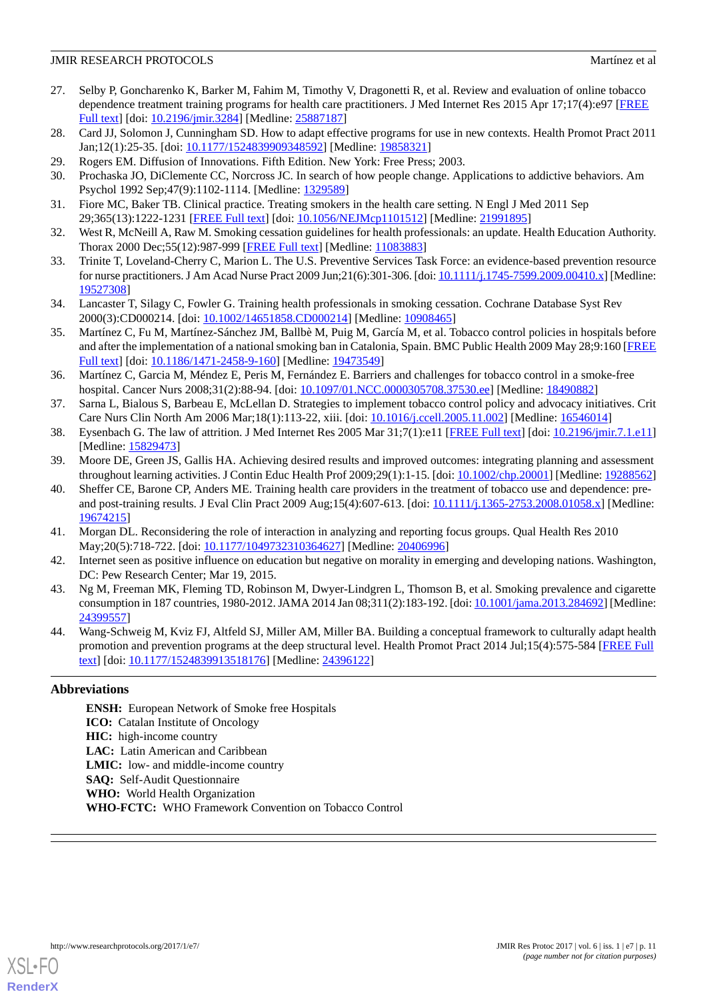# **JMIR RESEARCH PROTOCOLS** Martínez et al.

- <span id="page-10-0"></span>27. Selby P, Goncharenko K, Barker M, Fahim M, Timothy V, Dragonetti R, et al. Review and evaluation of online tobacco dependence treatment training programs for health care practitioners. J Med Internet Res 2015 Apr 17;17(4):e97 [[FREE](http://www.jmir.org/2015/4/e97/) [Full text\]](http://www.jmir.org/2015/4/e97/) [doi: [10.2196/jmir.3284](http://dx.doi.org/10.2196/jmir.3284)] [Medline: [25887187\]](http://www.ncbi.nlm.nih.gov/entrez/query.fcgi?cmd=Retrieve&db=PubMed&list_uids=25887187&dopt=Abstract)
- <span id="page-10-2"></span><span id="page-10-1"></span>28. Card JJ, Solomon J, Cunningham SD. How to adapt effective programs for use in new contexts. Health Promot Pract 2011 Jan;12(1):25-35. [doi: [10.1177/1524839909348592](http://dx.doi.org/10.1177/1524839909348592)] [Medline: [19858321\]](http://www.ncbi.nlm.nih.gov/entrez/query.fcgi?cmd=Retrieve&db=PubMed&list_uids=19858321&dopt=Abstract)
- <span id="page-10-3"></span>29. Rogers EM. Diffusion of Innovations. Fifth Edition. New York: Free Press; 2003.
- <span id="page-10-4"></span>30. Prochaska JO, DiClemente CC, Norcross JC. In search of how people change. Applications to addictive behaviors. Am Psychol 1992 Sep;47(9):1102-1114. [Medline: [1329589\]](http://www.ncbi.nlm.nih.gov/entrez/query.fcgi?cmd=Retrieve&db=PubMed&list_uids=1329589&dopt=Abstract)
- 31. Fiore MC, Baker TB. Clinical practice. Treating smokers in the health care setting. N Engl J Med 2011 Sep 29;365(13):1222-1231 [[FREE Full text](http://europepmc.org/abstract/MED/21991895)] [doi: [10.1056/NEJMcp1101512](http://dx.doi.org/10.1056/NEJMcp1101512)] [Medline: [21991895](http://www.ncbi.nlm.nih.gov/entrez/query.fcgi?cmd=Retrieve&db=PubMed&list_uids=21991895&dopt=Abstract)]
- 32. West R, McNeill A, Raw M. Smoking cessation guidelines for health professionals: an update. Health Education Authority. Thorax 2000 Dec;55(12):987-999 [[FREE Full text](http://thorax.bmj.com/cgi/pmidlookup?view=long&pmid=11083883)] [Medline: [11083883](http://www.ncbi.nlm.nih.gov/entrez/query.fcgi?cmd=Retrieve&db=PubMed&list_uids=11083883&dopt=Abstract)]
- <span id="page-10-5"></span>33. Trinite T, Loveland-Cherry C, Marion L. The U.S. Preventive Services Task Force: an evidence-based prevention resource for nurse practitioners. J Am Acad Nurse Pract 2009 Jun;21(6):301-306. [doi: [10.1111/j.1745-7599.2009.00410.x\]](http://dx.doi.org/10.1111/j.1745-7599.2009.00410.x) [Medline: [19527308](http://www.ncbi.nlm.nih.gov/entrez/query.fcgi?cmd=Retrieve&db=PubMed&list_uids=19527308&dopt=Abstract)]
- <span id="page-10-6"></span>34. Lancaster T, Silagy C, Fowler G. Training health professionals in smoking cessation. Cochrane Database Syst Rev 2000(3):CD000214. [doi: [10.1002/14651858.CD000214\]](http://dx.doi.org/10.1002/14651858.CD000214) [Medline: [10908465\]](http://www.ncbi.nlm.nih.gov/entrez/query.fcgi?cmd=Retrieve&db=PubMed&list_uids=10908465&dopt=Abstract)
- <span id="page-10-7"></span>35. Martínez C, Fu M, Martínez-Sánchez JM, Ballbè M, Puig M, García M, et al. Tobacco control policies in hospitals before and after the implementation of a national smoking ban in Catalonia, Spain. BMC Public Health 2009 May 28;9:160 [\[FREE](https://bmcpublichealth.biomedcentral.com/articles/10.1186/1471-2458-9-160) [Full text\]](https://bmcpublichealth.biomedcentral.com/articles/10.1186/1471-2458-9-160) [doi: [10.1186/1471-2458-9-160](http://dx.doi.org/10.1186/1471-2458-9-160)] [Medline: [19473549](http://www.ncbi.nlm.nih.gov/entrez/query.fcgi?cmd=Retrieve&db=PubMed&list_uids=19473549&dopt=Abstract)]
- <span id="page-10-9"></span><span id="page-10-8"></span>36. Martínez C, Garcia M, Méndez E, Peris M, Fernández E. Barriers and challenges for tobacco control in a smoke-free hospital. Cancer Nurs 2008;31(2):88-94. [doi: [10.1097/01.NCC.0000305708.37530.ee\]](http://dx.doi.org/10.1097/01.NCC.0000305708.37530.ee) [Medline: [18490882](http://www.ncbi.nlm.nih.gov/entrez/query.fcgi?cmd=Retrieve&db=PubMed&list_uids=18490882&dopt=Abstract)]
- <span id="page-10-10"></span>37. Sarna L, Bialous S, Barbeau E, McLellan D. Strategies to implement tobacco control policy and advocacy initiatives. Crit Care Nurs Clin North Am 2006 Mar;18(1):113-22, xiii. [doi: [10.1016/j.ccell.2005.11.002](http://dx.doi.org/10.1016/j.ccell.2005.11.002)] [Medline: [16546014](http://www.ncbi.nlm.nih.gov/entrez/query.fcgi?cmd=Retrieve&db=PubMed&list_uids=16546014&dopt=Abstract)]
- <span id="page-10-11"></span>38. Eysenbach G. The law of attrition. J Med Internet Res 2005 Mar 31;7(1):e11 [[FREE Full text\]](http://www.jmir.org/2005/1/e11/) [doi: [10.2196/jmir.7.1.e11](http://dx.doi.org/10.2196/jmir.7.1.e11)] [Medline: [15829473](http://www.ncbi.nlm.nih.gov/entrez/query.fcgi?cmd=Retrieve&db=PubMed&list_uids=15829473&dopt=Abstract)]
- 39. Moore DE, Green JS, Gallis HA. Achieving desired results and improved outcomes: integrating planning and assessment throughout learning activities. J Contin Educ Health Prof 2009;29(1):1-15. [doi: [10.1002/chp.20001](http://dx.doi.org/10.1002/chp.20001)] [Medline: [19288562](http://www.ncbi.nlm.nih.gov/entrez/query.fcgi?cmd=Retrieve&db=PubMed&list_uids=19288562&dopt=Abstract)]
- <span id="page-10-13"></span><span id="page-10-12"></span>40. Sheffer CE, Barone CP, Anders ME. Training health care providers in the treatment of tobacco use and dependence: pre-and post-training results. J Eval Clin Pract 2009 Aug;15(4):607-613. [doi: [10.1111/j.1365-2753.2008.01058.x\]](http://dx.doi.org/10.1111/j.1365-2753.2008.01058.x) [Medline: [19674215](http://www.ncbi.nlm.nih.gov/entrez/query.fcgi?cmd=Retrieve&db=PubMed&list_uids=19674215&dopt=Abstract)]
- <span id="page-10-14"></span>41. Morgan DL. Reconsidering the role of interaction in analyzing and reporting focus groups. Qual Health Res 2010 May;20(5):718-722. [doi: [10.1177/1049732310364627](http://dx.doi.org/10.1177/1049732310364627)] [Medline: [20406996\]](http://www.ncbi.nlm.nih.gov/entrez/query.fcgi?cmd=Retrieve&db=PubMed&list_uids=20406996&dopt=Abstract)
- <span id="page-10-15"></span>42. Internet seen as positive influence on education but negative on morality in emerging and developing nations. Washington, DC: Pew Research Center; Mar 19, 2015.
- 43. Ng M, Freeman MK, Fleming TD, Robinson M, Dwyer-Lindgren L, Thomson B, et al. Smoking prevalence and cigarette consumption in 187 countries, 1980-2012. JAMA 2014 Jan 08;311(2):183-192. [doi: [10.1001/jama.2013.284692](http://dx.doi.org/10.1001/jama.2013.284692)] [Medline: [24399557](http://www.ncbi.nlm.nih.gov/entrez/query.fcgi?cmd=Retrieve&db=PubMed&list_uids=24399557&dopt=Abstract)]
- 44. Wang-Schweig M, Kviz FJ, Altfeld SJ, Miller AM, Miller BA. Building a conceptual framework to culturally adapt health promotion and prevention programs at the deep structural level. Health Promot Pract 2014 Jul;15(4):575-584 [[FREE Full](http://europepmc.org/abstract/MED/24396122) [text](http://europepmc.org/abstract/MED/24396122)] [doi: [10.1177/1524839913518176\]](http://dx.doi.org/10.1177/1524839913518176) [Medline: [24396122\]](http://www.ncbi.nlm.nih.gov/entrez/query.fcgi?cmd=Retrieve&db=PubMed&list_uids=24396122&dopt=Abstract)

# **Abbreviations**

**ENSH:** European Network of Smoke free Hospitals **ICO:** Catalan Institute of Oncology **HIC:** high-income country **LAC:** Latin American and Caribbean **LMIC:** low- and middle-income country **SAQ:** Self-Audit Questionnaire **WHO:** World Health Organization **WHO-FCTC:** WHO Framework Convention on Tobacco Control